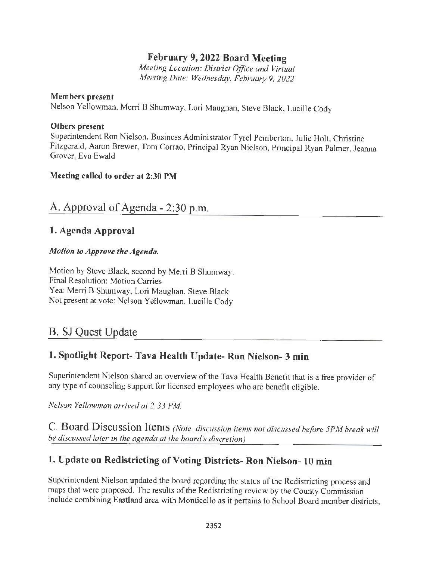# **February 9, 2022 Board Meeting**

*Meeting Location: District Office and Virtual Meeting Date: Wednesday, February 9, 2022* 

#### **Members present**

Nelson Yellowman, Merri B Shumway, Lori Maughan, Steve Black, Lucille Cody

#### **Others present**

Superintendent Ron Nielson, Business Administrator Tyrel Pemberton, Julie Holt, Christine Fitzgerald, Aaron Brewer, Tom Corrao, Principal Ryan Nielson, Principal Ryan Palmer, Jeanna Grover, Eva Ewald

#### **Meeting called to order at 2:30 PM**

# A. Approval of Agenda - 2:30 p.m.

## **1. Agenda Approval**

#### *Motion to Approve the Agenda.*

Motion by Steve Black, second by Merri B Shumway. Final Resolution: Motion Carries Yea: Merri B Shumway, Lori Maughan, Steve Black Not present at vote: Nelson Yellowman, Lucille Cody

# B. SJ Quest Update

# **1. Spotlight Report- Tava Health Update- Ron Nielson- 3 min**

Superintendent Nielson shared an overview of the Tava Health Benefit that is a free provider of any type of counseling support for licensed employees who are benefit eligible.

*Nelson Yellowman arrived at 2:33 PM* 

**C. Board Discussion Items** *(Note, discussion items not discussed before 5PM break will be discussed later in the agenda at the board's discretion)* 

# **1. Update on Redistricting of Voting Districts- Ron Nielson- IO min**

Superintendent Nielson updated the board regarding the status of the Redistricting process and maps that were proposed. The results of the Redistricting review by the County Commission include combining Eastland area with Monticello as it pertains to School Board member districts,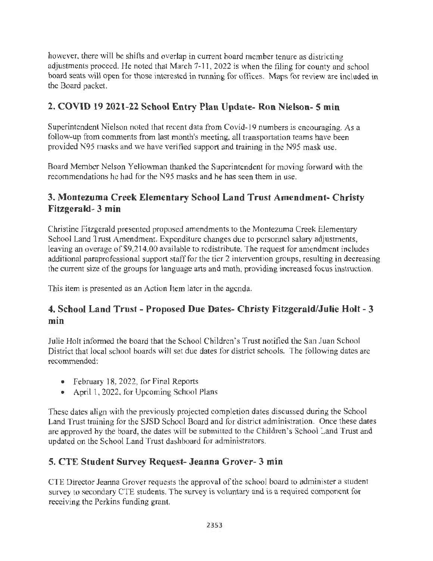however, there will be shifts and overlap in current board member tenure as districting adjustments proceed. He noted that March 7-1 1, 2022 is when the filing for county and school board seats will open for those interested in running for offices. Maps for review are included in the Board packet.

# **2. COVID 19 2021-22 School Entry Plan Update- Ron Nielson- 5 min**

Superintendent Nielson noted that recent data from Covid-19 numbers is encouraging. As a follow-up from comments from last month's meeting, all transportation teams have been provided N95 masks and we have verified support and training in the N95 mask use.

Board Member Nelson Yellowman thanked the Superintendent for moving forward with the recommendations he had for the N95 masks and he has seen them in use.

# **3. Montezuma Creek Elementary School Land Trust Amendment- Christy Fitzgerald- 3 min**

Christine Fitzgerald presented proposed amendments to the Montezuma Creek Elementary School Land Trust Amendment. Expenditure changes due to personnel salary adjustments, leaving an overage of \$9,214.00 available to redistribute. The request for amendment includes additional paraprofessional support staff for the tier 2 intervention groups, resulting in decreasing the current size of the groups for language arts and math, providing increased focus instruction.

This item is presented as an Action Item later in the agenda.

# **4. School Land Trust - Proposed Due Dates- Christy Fitzgerald/Julie Holt - 3**  min

Julie Holt informed the board that the School Children's Trust notified the San Juan School District that local school boards will set due dates for district schools. The following dates are recommended:

- February 18, 2022, for Final Reports
- April 1, 2022, for Upcoming School Plans

These dates align with the previously projected completion dates discussed during the School Land Trust training for the SJSD School Board and for district administration. Once these dates are approved by the board, the dates will be submitted to the Children's School Land Trust and updated on the School Land Trust dashboard for administrators.

# **5. CTE Student Survey Request- Jeanna Grover- 3 min**

CTE Director Jeanna Grover requests the approval of the school board to administer a student survey to secondary CTE students. The survey is voluntary and is a required component for receiving the Perkins funding grant.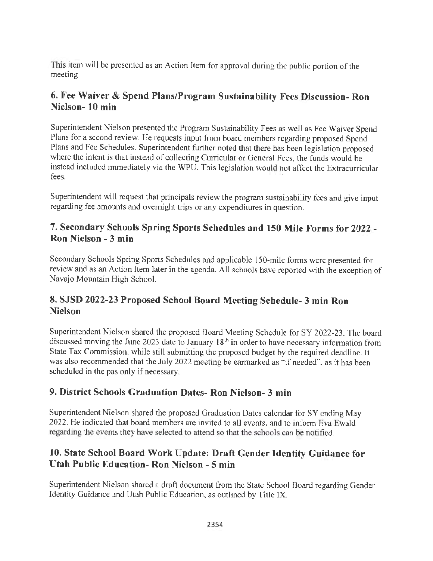This item will be presented as an Action Item for approval during the public portion of the meeting.

# **6. Fee Waiver & Spend Plans/Program Sustainability Fees Discussion- Ron Nielson- 10 min**

Superintendent Nielson presented the Program Sustainability Fees as well as Fee Waiver Spend Plans for a second review. He requests input from board members regarding proposed Spend Plans and Fee Schedules. Superintendent further noted that there has been legislation proposed where the intent is that instead of collecting Curricular or General Fees, the funds would be instead included immediately via the WPU. This legislation would not affect the Extracurricular fees.

Superintendent will request that principals review the program sustainability fees and give input regarding fee amounts and overnight trips or any expenditures in question.

### **7. Secondary Schools Spring Sports Schedules and 150 Mile Forms for 2022** - **Ron Nielson - 3 min**

Secondary Schools Spring Sports Schedules and applicable 150-mile forms were presented for review and as an Action Item later in the agenda. All schools have reported with the exception of Navajo Mountain High School.

## **8. SJSD 2022-23 Proposed School Board Meeting Schedule- 3 min Ron Nielson**

Superintendent Nielson shared the proposed Board Meeting Schedule for SY 2022-23. The board discussed moving the June 2023 date to January  $18<sup>th</sup>$  in order to have necessary information from State Tax Commission, while still submitting the proposed budget by the required deadline. It was also recommended that the July 2022 meeting be earmarked as "if needed", as it has been scheduled in the pas only if necessary.

### **9. District Schools Graduation Dates- Ron Nielson- 3 min**

Superintendent Nielson shared the proposed Graduation Dates calendar for SY ending May 2022. He indicated that board members are invited to all events, and to inform Eva Ewald regarding the events they have selected to attend so that the schools can be notified.

# **10. State School Board Work Update: Draft Gender Identity Guidance for Utah Public Education- Ron Nielson - 5 min**

Superintendent Nielson shared a draft document from the State School Board regarding Gender Identity Guidance and Utah Public Education, as outlined by Title IX.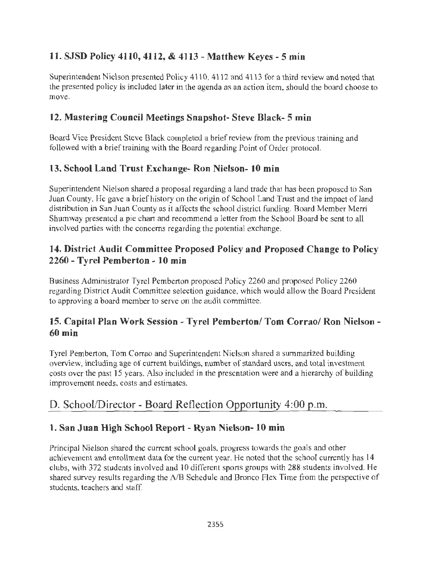# **11. SJSD Policy 4110, 4112,** & **4113** - **Matthew Keyes** - **5 min**

Superintendent Nielson presented Policy 4 110, 4112 and 4113 for a third review and noted that the presented policy is included later in the agenda as an action item, should the board choose to move.

## **12. Mastering Council Meetings Snapshot- Steve Black- 5 min**

Board Vice President Steve Black completed a brief review from the previous training and followed with a brief training with the Board regarding Point of Order protocol.

## **13. School Land Trust Exchange- Ron Nielson- 10 min**

Superintendent Nielson shared a proposal regarding a land trade that has been proposed to San Juan County. He gave a brief history on the origin of School Land Trust and the impact of land distribution in San Juan County as it affects the school district funding. Board Member Merri Shumway presented a pie chart and recommend a letter from the School Board be sent to all involved parties with the concerns regarding the potential exchange.

## **14. District Audit Committee Proposed Policy and Proposed Change to Policy 2260** - **Tyrel Pemberton** - **10 min**

Business Administrator Tyrel Pemberton proposed Policy 2260 and proposed Policy 2260 regarding District Audit Committee selection guidance, which would allow the Board President to approving a board member to serve on the audit committee.

# **15. Capital Plan Work Session** - **Tyrel Pemberton/ Tom Corrao/ Ron Nielson** - **60 min**

Tyrel Pemberton, Tom Corrao and Superintendent Nielson shared a summarized building overview, including age of current buildings, number of standard users, and total investment costs over the past 15 years. Also included in the presentation were and a hierarchy of building improvement needs, costs and estimates.

# D. School/Director - Board Reflection Opportunity 4:00 p.m.

# **1. San Juan High School Report** - **Ryan Nielson- 10 min**

Principal Nielson shared the current school goals, progress towards the goals and other achievement and enrollment data for the current year. He noted that the school currently has 14 clubs, with 372 students involved and 10 different sports groups with 288 students involved. He shared survey results regarding the A/B Schedule and Bronco Flex Time from the perspective of students, teachers and staff.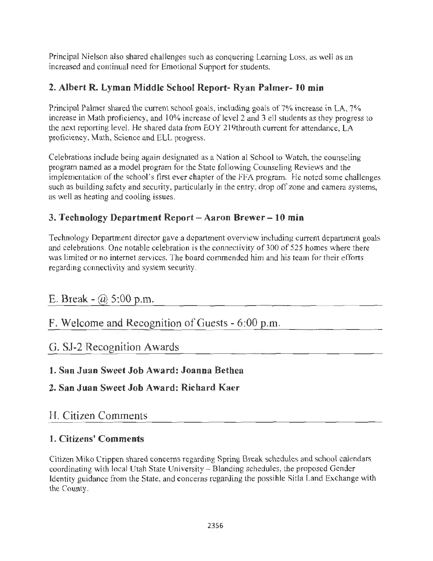Principal Nielson also shared challenges such as conquering Learning Loss, as well as an increased and continual need for Emotional Support for students.

# **2. Albert R. Lyman Middle School Report- Ryan Palmer- 10 min**

Principal Palmer shared the current school goals, including goals of 7% increase in LA, 7% increase in Math proficiency, and 10% increase of level 2 and 3 ell students as they progress to the next reporting level. He shared data from EOY 2 19throuth current for attendance, LA proficiency, Math, Science and ELL progress.

Celebrations include being again designated as a Nation al School to Watch, the counseling program named as a model program for the State following Counseling Reviews and the implementation of the school's first ever chapter of the FFA program. He noted some challenges such as building safety and security, particularly in the entry, drop off zone and camera systems, as well as heating and cooling issues.

# **3. Technology Department Report** - **Aaron Brewer** - **10 min**

Technology Department director gave a department overview including current department goals and celebrations. One notable celebration is the connectivity of 300 of 525 homes where there was limited or no internet services. The board commended him and his team for their efforts regarding connectivity and system security.

# E. Break -  $\omega$  5:00 p.m.

# F. Welcome and Recognition of Guests - 6 :00 p.m.

# G. SJ-2 Recognition Awards

# **1. San Juan Sweet Job Award: Joanna Bethea**

# **2. San Juan Sweet Job Award: Richard Kaer**

# H. Citizen Comments

# **1. Citizens' Comments**

Citizen Miko Crippen shared concerns regarding Spring Break schedules and school calendars coordinating with local Utah State University - Blanding schedules, the proposed Gender Identity guidance from the State, and concerns regarding the possible Sitla Land Exchange with the County.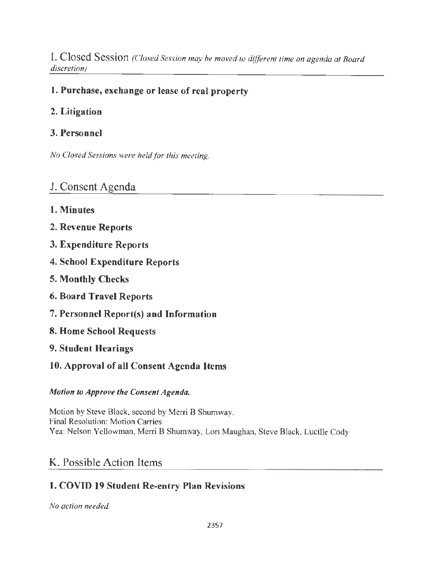I. **Closed Session** *(Closed Session may be moved to different time on agenda at Board discretion)* 

## **1. Purchase, exchange or lease of real property**

### **2. Litigation**

#### **3. Personnel**

*No Closed Sessions were held for this meeting.* 

## J. Consent Agenda

- **1. Minutes**
- **2. Revenue Reports**
- **3. Expenditure Reports**
- **4. School Expenditure Reports**
- **5. Monthly Checks**
- **6. Board Travel Reports**
- **7. Personnel Report(s) and Information**
- **8. Home School Requests**
- **9. Student Hearings**
- **10. Approval of all Consent Agenda Items**

#### *Motion to Approve the Consent Agenda.*

Motion by Steve Black, second by Merri B Shumway. Final Resolution: Motion Carries Yea: Nelson Yellowman, Merri B Shumway, Lori Maughan, Steve Black, Lucille Cody

# K. Possible Action Items

### **1. COVID 19 Student Re-entry Plan Revisions**

*No action needed.*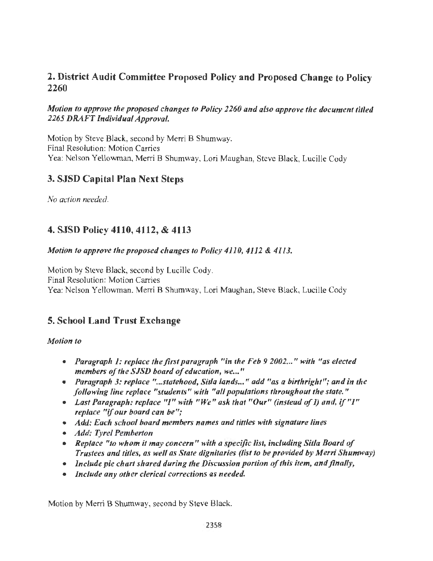### 2. District Audit Committee Proposed Policy and Proposed Change to Policy 2260

#### *Motion to approve the proposed changes to Policy 2260 and also approve the document titled 2265 DRAFT Individual Approval.*

Motion by Steve Black, second by Merri B Shumway. Final Resolution: Motion Carries Yea: Nelson Yellowman, Merri B Shumway, Lori Maughan, Steve Black, Lucille Cody

## 3. SJSD Capital Plan Next Steps

*No action needed.* 

# 4. SJSD Policy 4110, 4112, & 4113

#### *Motion to approve the proposed changes to Policy 4110, 4112 & 4113.*

Motion by Steve Black, second by Lucille Cody. Final Resolution: Motion Carries Yea: Nelson Yellowrnan, Merri B Shumway, Lori Maughan, Steve Black, Lucille Cody

# 5. School Land Trust Exchange

#### *Motion to*

- *Paragraph 1: replace the first paragraph "in the Feb 9 2002 ... " with "as elected members of the SJSD board of education, we ... "*
- *Paragraph 3: replace " ... statehood, Sit/a lands ... " add "as a birthright"; and in the following line replace "students" with "all populations throughout the state."*
- *Last Paragraph: replace* "/" *with "We" ask that "Our" (instead of I) and,* if *"I" replace* "if *our board can be";*
- *Add: Each school board members names and tittles with signature lines*
- *Add: Tyre/ Pemberton*
- *Replace "to whom it may concem" with a specific list, including Sit/a Board of Trustees and titles, as well as State dignitaries (list to be provided by Merri Shumway)*
- *Include pie chart shared during the Discussion portion of this item, and finally,*
- *Include any other clerical corrections as needed.*

Motion by Merri B Shumway, second by Steve Black.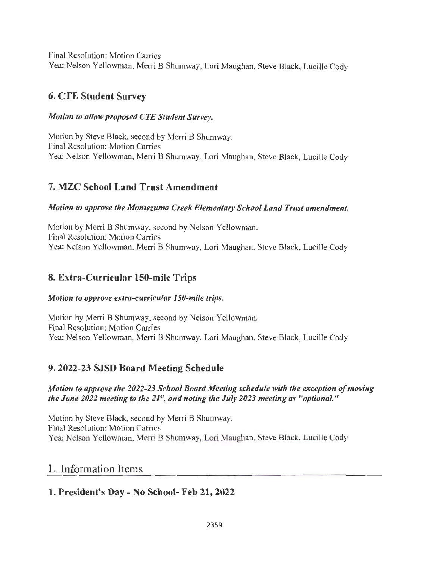Final Resolution: Motion Carries Yea: Nelson Yellowman, Merri B Shumway, Lori Maughan, Steve Black, Lucille Cody

# **6. CTE Student Survey**

#### *Motion to allow proposed CTE Student Survey.*

Motion by Steve Black, second by Merri B Shumway. Final Resolution: Motion Carries Yea: Nelson Yellowman, Merri B Shumway, Lori Maughan, Steve Black, Lucille Cody

# 7. **MZC School Land Trust Amendment**

#### *Motion to approve the Montezuma Creek Elementary School Land Trust amendment.*

Motion by Merri B Shumway, second by Nelson Yellowman. Final Resolution: Motion Carries Yea: Nelson Yellowman, Merri B Shumway, Lori Maughan, Steve Black, Lucille Cody

# **8. Extra-Curricular 150-mile Trips**

#### *Motion to approve extra-curricular 150-mile trips.*

Motion by Merri B Shumway, second by Nelson Yellowman. Final Resolution: Motion Carries Yea: Nelson Yellowman, Merri B Shumway, Lori Maughan, Steve Black, Lucille Cody

# **9. 2022-23 SJSD Board Meeting Schedule**

#### *Motion to approve the 2022-23 School Board Meeting schedule with the exception of moving the June 2022 meeting to the 2JS', and noting the July 2023 meeting as "optional."*

Motion by Steve Black, second by Merri B Shumway. Final Resolution: Motion Carries Yea: Nelson Yellowman, Merri B Shumway, Lori Maughan, Steve Black, Lucille Cody

# L. Information Items

# **1. President's Day** - **No School- Feb 21, 2022**